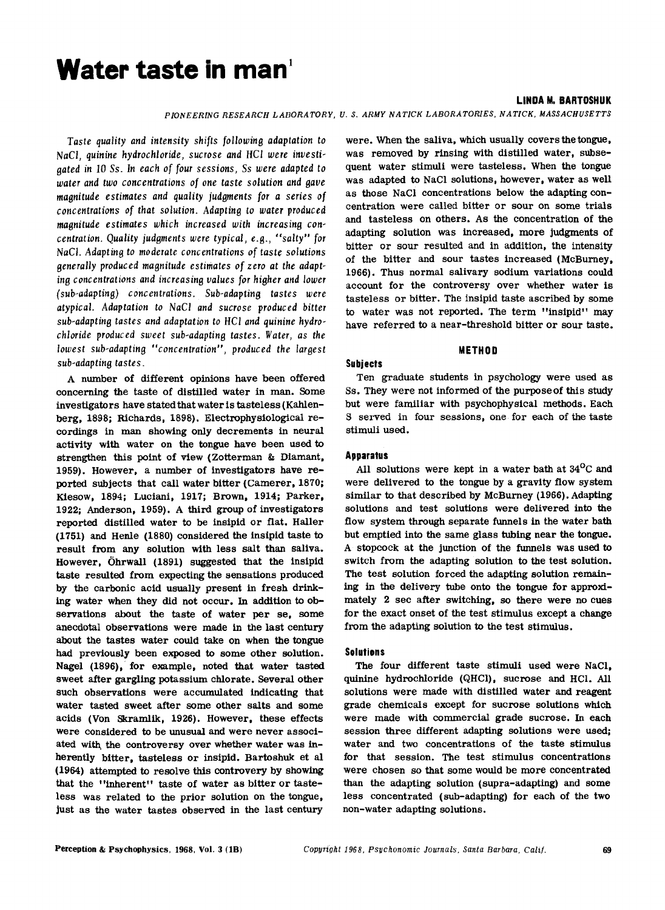# **Water taste in** man'

#### **LINDA M. BARTDSHUK**

*PIONEERING RESEARCH LABORATORY, U.* S. *ARMY NATICK LABORATORIES, NATICK, MASSACHUSETTS*

*Taste quality and intensity shifts following adaptation to NaCl, quinine hydrochloride, sucrose and HCl were investigated in* 10 *Ss. In each of four sessions,* Ss *were adapted to water and two concentrations of one taste solution and gave magnitude estimates and quality judgments for a series of concentrations of that solution. Adapting to water produced magnitude estimates which increased with increasing concentration. Quality judgments were typical,* e.g., *"salty" for NaCI. Adapting to moderate concentrations of taste solutions generally produced magnitude estimates of zero at the adapting concentrations and increasing values for higher and lower (sub-adapting) conc entrations. Sub-adapting taste*s *were atypical. Adaptation to NaCI and sucrose produced bitter sub-adapting tastes and adaptation to* HCI *and quinine hydrochloride produced sweet sub-adapting tastes. Water, as the lowest sub-adapting "concentration", produced the largest sub-adapting tastes.*

A number of different opinions have been offered concerning the taste of distilled water in man. Some investigators have stated that water is tasteless (Kahlenberg, 1898; Richards, 1898). Electrophysiological recordings in man showing only decrements in neural activity with water on the tongue have been used to strengthen this point of view (Zotterman & Diamant, 1959). However, a number of investigators have reported subjects that call water bitter (Camerer, 1870; Kiesow, 1894; Luciani, 1917; Brown, 1914; Parker, 1922; Anderson, 1959). A third group of investigators reported distilled water to be insipid or flat. Haller (1751) and Henle (1880) considered the insipid taste to result from any solution with less salt than saliva. However, Ohrwall (1891) suggested that the insipid taste resulted from expecting the sensations produced by the carbonic acid usually present in fresh drinking water when they did not occur. In addition to observations about the taste of water per se, some anecdotal observations were made in the last century about the tastes water could take on when the tongue had previously been exposed to some other solution. Nagel (1896), for example, noted that water tasted sweet after gargling potassiwn chlorate. Several other such observations were accwnulated indicating that water tasted sweet after some other salts and some acids (Von Skramlik, 1926). However, these effects were considered to be unusual and were never associated with, the controversy over whether water was inherently bitter, tasteless or insipid. Bartoshuk et al (1964) attempted to resolve this controvery by showing' that the "inherent" taste of water as bitter or tasteless was related to the prior solution on the tongue, just as the water tastes observed in the last century

were. When the saliva, which usually coversthe tongue, was removed by rinsing with distilled water, subsequent water stimuli were tasteless. When the tongue was adapted to NaCI solutions, however, water as well as those NaCI concentrations below the adapting concentration were called bitter or sour on some trials and tasteless on others. As the concentration of the adapting solution was increased, more judgments of bitter or sour resulted and in addition, the intensity of the bitter and sour tastes increased (McBurney, 1966). Thus normal salivary sodiwn variations could account for the controversy over whether water is tasteless or bitter. The insipid taste ascribed by some to water was not reported. The term "insipid" may have referred to a near-threshold bitter or sour taste.

# **METHOD**

Ten graduate students in psychology were used as ss, They were not informed of the purpose of this study but were familiar with psychophysical methods. Each S served in four sessions, one for each of the taste stimuli used.

# **Apparatus**

**Subjects**

All solutions were kept in a water bath at  $34^{\circ}$ C and were delivered to the tongue by a gravity flow system similar to that described by McBurney (1966). Adapting solutions and test solutions were delivered into the flow system through separate funnels in the water bath but emptied into the same glass tubing near the tongue. A stopcock at the junction of the funnels was used to switch from the adapting solution to the test solution. The test solution forced the adapting solution remaining in the delivery tube onto the tongue for approximately 2 sec after switching, so there were no cues for the exact onset of the test stimulus except a change from the adapting solution to the test stimulus.

## **Solutions**

The four different taste stimuli used were NaCI, quinine hydrochloride (QHCl), sucrose and HCl. All solutions were made with distilled water and reagent grade chemicals except for sucrose solutions which were made with commercial grade sucrose. In each session three different adapting solutions were used; water and two concentrations of the taste stimulus for that session. The test stimulus concentrations were chosen so that some would be more concentrated than the adapting solution (supra-adapting) and some less concentrated (sub-adapting) for each of the two non-water adapting solutions.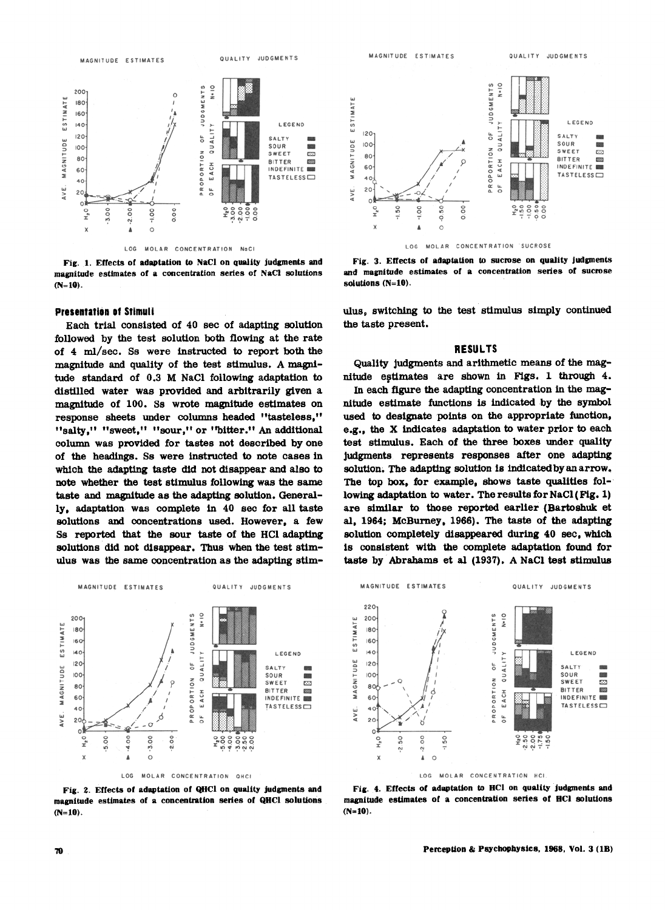

Fig. 1. Effects of adaptation to NaCl on quality judgments and magnitude estimates of a concentration series of NaCl solutions  $(N=10)$ .

# **Presentation of Stimuli**

Each trial consisted of 40 sec of adapting solution followed by the test solution both flowing at the rate of 4 ml/sec. Ss were instructed to report both the magnitude and quality of the test stimulus. A magnitude standard of 0.3 M NaCl following adaptation to distilled water was provided and arbitrarily given a magnitude of 100. Ss wrote magnitude estimates on response sheets under columns headed "tasteless," "salty," "sweet," "sour," or "bitter." An additional column was provided for tastes not described by one of the headings. Ss were instructed to note cases in which the adapting taste did not disappear and also to note whether the test stimulus following was the same taste and magnitude as the adapting solution. Generally, adaptation was complete in 40 sec for all taste solutions and concentrations used. However, a few Ss reported that the sour taste of the HCl adapting solutions did not disappear. Thus when the test stimulus was the same concentration as the adapting stim-



Fig. 2. Effects of adaptation of QHCl on quality judgments and magnitude estimates of a concentration series of QHCl solutions  $(N=10)$ .



Fig. 3. Effects of adaptation to sucrose on quality judgments and magnitude estimates of a concentration series of sucrose solutions (N=10).

ulus, switching to the test stimulus simply continued the taste present.

#### **RESULTS**

Quality judgments and arithmetic means of the magnitude estimates are shown in Figs. 1 through 4.

In each figure the adapting concentration in the magnitude estimate functions is indicated by the symbol used to designate points on the appropriate function, e.g., the X indicates adaptation to water prior to each test stimulus. Each of the three boxes under quality judgments represents responses after one adapting solution. The adapting solution is indicated by an arrow. The top box, for example, shows taste qualities following adaptation to water. The results for NaCl (Fig. 1) are similar to those reported earlier (Bartoshuk et al, 1964; McBurney, 1966). The taste of the adapting solution completely disappeared during 40 sec, which is consistent with the complete adaptation found for taste by Abrahams et al (1937). A NaCl test stimulus



Fig. 4. Effects of adaptation to HCl on quality judgments and magnitude estimates of a concentration series of HCl solutions  $(N=10)$ .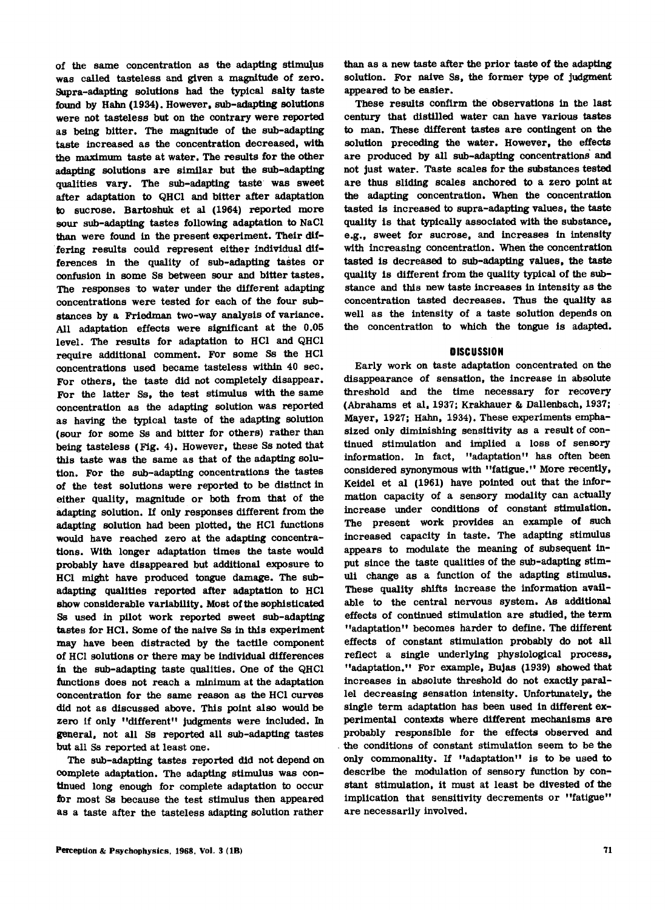of the same concentration as the adapting stimulus was called tasteless and given a magnitude of zero. Supra-adapting solutions had the typical salty taste found by Hahn (1934). However. sub-adapting solutions were not tasteless but on the contrary were reported as being bitter. The magnitude of the sub-adapting taste increased as the concentration decreased, with the maximum taste at water. The results for the other adapting solutions are similar but the sub-adapting qualities vary. The sub-adapting taste was sweet after adaptation to QHCl and bitter after adaptation to sucrose. Bartoshuk et al (1964) reported more sour sub-adapting tastes following adaptation to NaCI than were found in the present experiment. Their dif- .fering results could represent either individual differences in the quality of sub-adapting tastes or confusion in some Ss between sour and bitter tastes. The responses to water under the different adapting concentrations were tested for each of the four substances by a Friedman two-way analysis of variance. All adaptation effects were significant at the 0.05 level. The results for adaptation to HCl and QHCl require additional comment. For some Sa the HCl concentrations used became tasteless within 40 sec. For others. the taste did not completely disappear. For the latter Ss, the test stimulus with the same concentration as the adapting solution was reported as having the typical taste of the adapting solution (sour for some Ss and bitter for others) rather than being tasteless (Fig. 4). However, these Ss noted that this taste was the same as that of the adapting solution. For the sub-adapting concentrations the tastes of the test solutions were reported to be distinct in either quality, magnitude or both from that of the adapting solution. If only responses different from the adapting solution had been plotted. the HCl functions would have reached zero at the adapting concentrations. With longer adaptation times the taste would probably have disappeared but additional exposure to HCl might have produced tongue damage. The subadapting qualities reported after adaptation to HCl show considerable variability. Most of the sophisticated Sa used in pilot work reported sweet sub-adapting tastes for HCI. Some of the naive Ss in this experiment may have been distracted by the tactile component of HCl solutions or there may be individual differences in the sub-adapting taste qualities. One of the QHCl functions does not reach a minimum at the adaptation concentration for the same reason as the HCl curves did not as discussed above. This point also would be zero if only "different" judgments were included. In general, not all Ss reported all sub-adapting tastes but all Sa reported at least one.

The sub-adapting tastes reported did not depend on complete adaptation. The adapting stimulus was continued long enough for complete adaptation to occur for most Sa because the test stimulus then appeared as a taste after the tasteless adapting solution rather

Perception & Psychophysics, 1968, Vol. 3 (1B)

than as a new taste after the prior taste of the adapting solution. For naive Ss, the former type of judgment appeared to be easier.

These results confirm the observations in the last century that distilled water can have various tastes to man. These different tastes are contingent on the solution preceding the water. However. the effects are produced by all sub-adapting concentrations' and not just water. Taste scales for the substances tested are thus sliding scales anchored to a zero point at the adapting concentration. When the concentration tasted is increased to supra-adapting values. the taste quality is that typically associated with the substance. e.g., sweet for sucrose, and increases in intensity with increasing concentration. When the concentration tasted is decreased to sub-adapting values, the taste quality is different from the quality typical of the substance and this new taste increases in intensity as the concentration tasted decreases. Thus the quality as well as the intensity of a taste solution depends on the concentration to which the tongue is adapted.

# **DISCUSSION**

Early work on taste adaptation concentrated on the disappearance of sensation, the increase in absolute threshold and the time necessary for recovery (Abrahams et al, 1937; Krakhauer & Dallenbach, 1937; Mayer, 1927; Hahn, 1934). These experiments emphasized only diminishing sensitivity as a result of continued stimulation and implied a loss of sensory information. In fact, "adaptation" has often been considered synonymous with "fatigue." More recently, Keidel et al (1961) have pointed out that the information capacity of a sensory modality can actually increase under conditions of constant stimulation. The present work provides an example of such increased capacity in taste. The adapting stimulus appears to modulate the meaning of subsequent input since the taste qualities of the sub-adapting stimuli change as a function of the adapting stimulus. These quality shifts increase the information available to the central nervous system. As additional effects of continued stimulation are studied, the term "adaptation" becomes harder to define. The different effects of constant stimulation probably do not all reflect a single underlying physiological process. "adaptation." For example, Bujas (1939) showed that increases in absolute threshold do not exactly parallel decreasing sensation intensity. Unfortunately. the single term adaptation has been used in different experimental contexts where different mechanisms are probably responsible for the effects observed and the conditions of constant stimulation seem to be the only commonality. If "adaptation" is to be used to describe the modulation of sensory function by constant stimulation, it must at least be divested of the implication that sensitivity decrements or "fatigue" are necessarily involved.